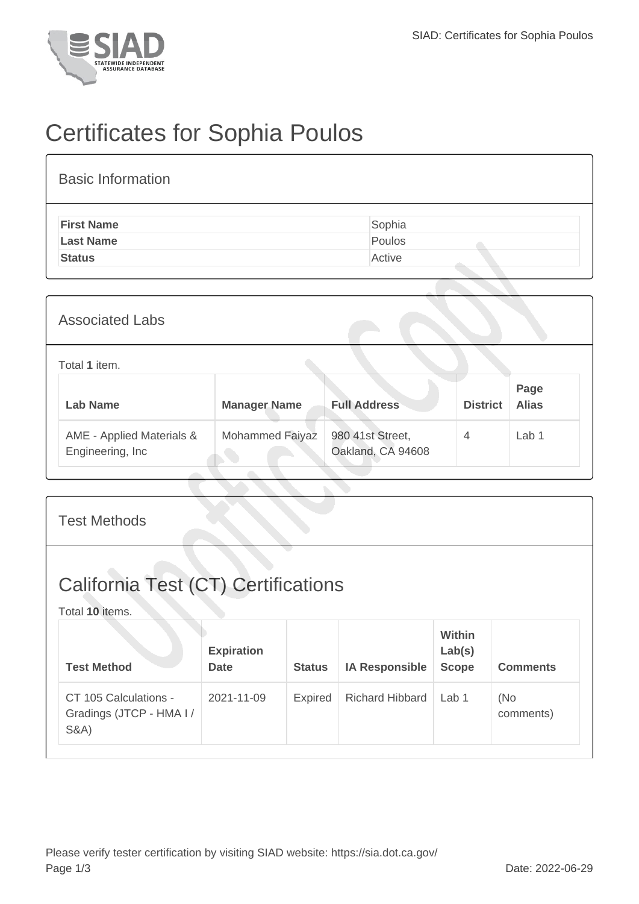

## Certificates for Sophia Poulos

| <b>Basic Information</b> |        |
|--------------------------|--------|
| <b>First Name</b>        | Sophia |
| <b>Last Name</b>         | Poulos |
| <b>Status</b>            | Active |
|                          |        |

| <b>Associated Labs</b>                         |                     |                                       |                 |                      |
|------------------------------------------------|---------------------|---------------------------------------|-----------------|----------------------|
| Total 1 item.                                  |                     |                                       |                 |                      |
| <b>Lab Name</b>                                | <b>Manager Name</b> | <b>Full Address</b>                   | <b>District</b> | Page<br><b>Alias</b> |
| AME - Applied Materials &<br>Engineering, Inc. | Mohammed Faiyaz     | 980 41st Street,<br>Oakland, CA 94608 | $\overline{4}$  | Lab <sub>1</sub>     |

| <b>Test Methods</b>                                                  |                                  |                |                        |                                         |                  |
|----------------------------------------------------------------------|----------------------------------|----------------|------------------------|-----------------------------------------|------------------|
| <b>California Test (CT) Certifications</b><br>Total 10 items.        |                                  |                |                        |                                         |                  |
| <b>Test Method</b>                                                   | <b>Expiration</b><br><b>Date</b> | <b>Status</b>  | <b>IA Responsible</b>  | <b>Within</b><br>Lab(s)<br><b>Scope</b> | <b>Comments</b>  |
| CT 105 Calculations -<br>Gradings (JTCP - HMA I /<br><b>S&amp;A)</b> | 2021-11-09                       | <b>Expired</b> | <b>Richard Hibbard</b> | Lab <sub>1</sub>                        | (No<br>comments) |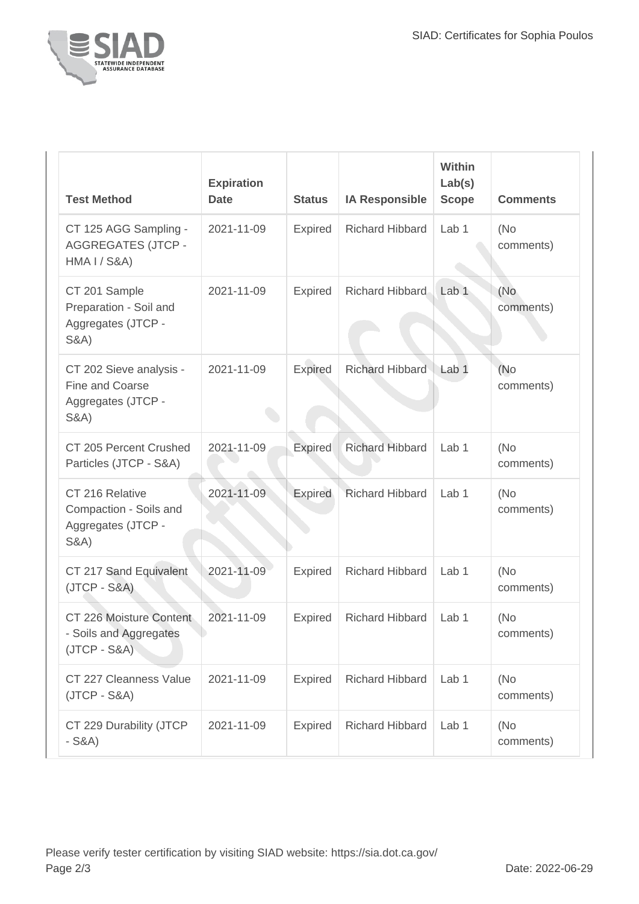

| <b>Test Method</b>                                                                  | <b>Expiration</b><br><b>Date</b> | <b>Status</b>  | <b>IA Responsible</b>  | Within<br>Lab(s)<br><b>Scope</b> | <b>Comments</b>   |
|-------------------------------------------------------------------------------------|----------------------------------|----------------|------------------------|----------------------------------|-------------------|
| CT 125 AGG Sampling -<br><b>AGGREGATES (JTCP -</b><br><b>HMA I / S&amp;A)</b>       | 2021-11-09                       | <b>Expired</b> | <b>Richard Hibbard</b> | Lab 1                            | (No<br>comments)  |
| CT 201 Sample<br>Preparation - Soil and<br>Aggregates (JTCP -<br><b>S&amp;A)</b>    | 2021-11-09                       | <b>Expired</b> | Richard Hibbard        | Lab <sub>1</sub>                 | (No<br>comments)  |
| CT 202 Sieve analysis -<br>Fine and Coarse<br>Aggregates (JTCP -<br><b>S&amp;A)</b> | 2021-11-09                       | <b>Expired</b> | <b>Richard Hibbard</b> | Lab <sub>1</sub>                 | (No<br>comments)  |
| CT 205 Percent Crushed<br>Particles (JTCP - S&A)                                    | 2021-11-09                       | <b>Expired</b> | <b>Richard Hibbard</b> | Lab <sub>1</sub>                 | (No<br>comments)  |
| CT 216 Relative<br>Compaction - Soils and<br>Aggregates (JTCP -<br><b>S&amp;A)</b>  | 2021-11-09                       | <b>Expired</b> | <b>Richard Hibbard</b> | Lab 1                            | (No<br>comments)  |
| CT 217 Sand Equivalent<br>$(JTCP - S&A)$                                            | 2021-11-09                       | <b>Expired</b> | <b>Richard Hibbard</b> | Lab 1                            | (No<br>comments)  |
| CT 226 Moisture Content<br>- Soils and Aggregates<br>$(JTCP - S&A)$                 | 2021-11-09                       | <b>Expired</b> | <b>Richard Hibbard</b> | Lab <sub>1</sub>                 | (No<br>comments)  |
| CT 227 Cleanness Value<br>$(JTCP - S&A)$                                            | 2021-11-09                       | <b>Expired</b> | <b>Richard Hibbard</b> | Lab 1                            | (No)<br>comments) |
| CT 229 Durability (JTCP<br>$-S&A)$                                                  | 2021-11-09                       | <b>Expired</b> | <b>Richard Hibbard</b> | Lab 1                            | (No<br>comments)  |